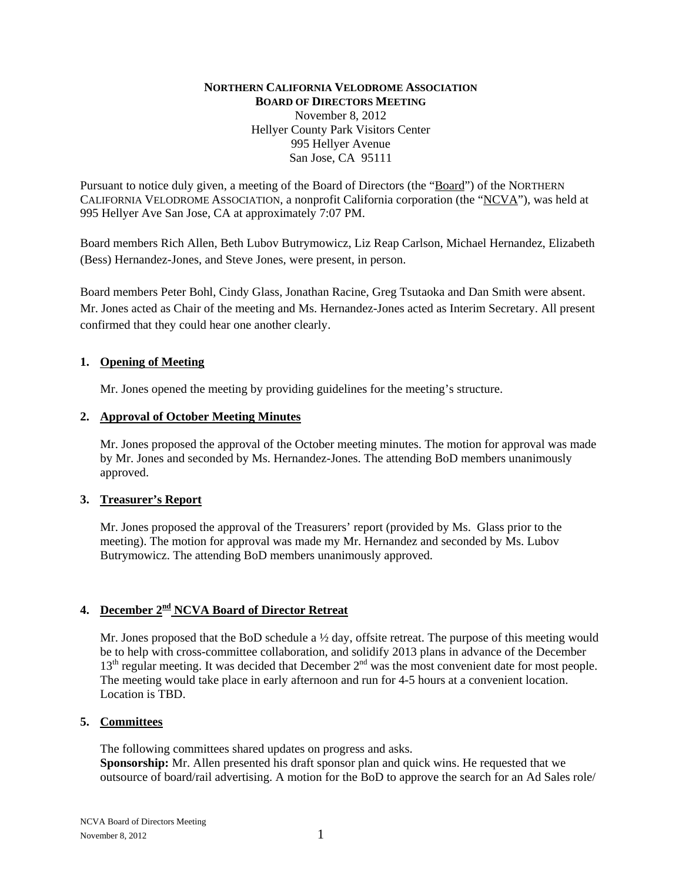### **NORTHERN CALIFORNIA VELODROME ASSOCIATION BOARD OF DIRECTORS MEETING** November 8, 2012 Hellyer County Park Visitors Center 995 Hellyer Avenue San Jose, CA 95111

Pursuant to notice duly given, a meeting of the Board of Directors (the "Board") of the NORTHERN CALIFORNIA VELODROME ASSOCIATION, a nonprofit California corporation (the "NCVA"), was held at 995 Hellyer Ave San Jose, CA at approximately 7:07 PM.

Board members Rich Allen, Beth Lubov Butrymowicz, Liz Reap Carlson, Michael Hernandez, Elizabeth (Bess) Hernandez-Jones, and Steve Jones, were present, in person.

Board members Peter Bohl, Cindy Glass, Jonathan Racine, Greg Tsutaoka and Dan Smith were absent. Mr. Jones acted as Chair of the meeting and Ms. Hernandez-Jones acted as Interim Secretary. All present confirmed that they could hear one another clearly.

### **1. Opening of Meeting**

Mr. Jones opened the meeting by providing guidelines for the meeting's structure.

#### **2. Approval of October Meeting Minutes**

Mr. Jones proposed the approval of the October meeting minutes. The motion for approval was made by Mr. Jones and seconded by Ms. Hernandez-Jones. The attending BoD members unanimously approved.

## **3. Treasurer's Report**

Mr. Jones proposed the approval of the Treasurers' report (provided by Ms. Glass prior to the meeting). The motion for approval was made my Mr. Hernandez and seconded by Ms. Lubov Butrymowicz. The attending BoD members unanimously approved.

# **4. December 2nd NCVA Board of Director Retreat**

Mr. Jones proposed that the BoD schedule a  $\frac{1}{2}$  day, offsite retreat. The purpose of this meeting would be to help with cross-committee collaboration, and solidify 2013 plans in advance of the December 13<sup>th</sup> regular meeting. It was decided that December 2<sup>nd</sup> was the most convenient date for most people. The meeting would take place in early afternoon and run for 4-5 hours at a convenient location. Location is TBD.

## **5. Committees**

The following committees shared updates on progress and asks. **Sponsorship:** Mr. Allen presented his draft sponsor plan and quick wins. He requested that we outsource of board/rail advertising. A motion for the BoD to approve the search for an Ad Sales role/